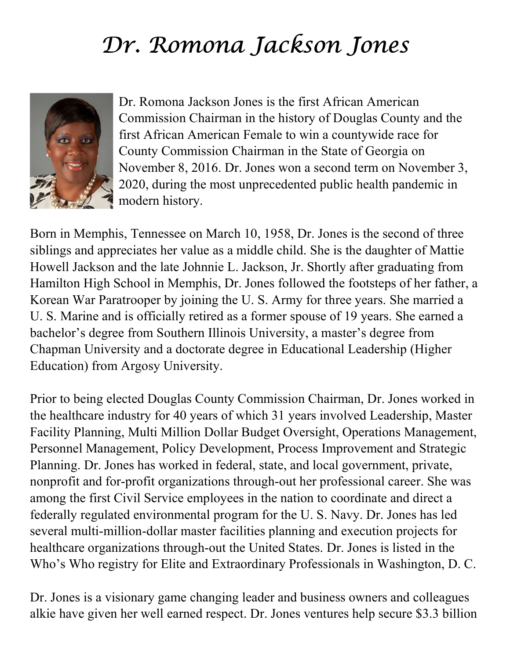## Dr. Romona Jackson Jones



Dr. Romona Jackson Jones is the first African American Commission Chairman in the history of Douglas County and the first African American Female to win a countywide race for County Commission Chairman in the State of Georgia on November 8, 2016. Dr. Jones won a second term on November 3, 2020, during the most unprecedented public health pandemic in modern history.

Born in Memphis, Tennessee on March 10, 1958, Dr. Jones is the second of three siblings and appreciates her value as a middle child. She is the daughter of Mattie Howell Jackson and the late Johnnie L. Jackson, Jr. Shortly after graduating from Hamilton High School in Memphis, Dr. Jones followed the footsteps of her father, a Korean War Paratrooper by joining the U. S. Army for three years. She married a U. S. Marine and is officially retired as a former spouse of 19 years. She earned a bachelor's degree from Southern Illinois University, a master's degree from Chapman University and a doctorate degree in Educational Leadership (Higher Education) from Argosy University.

Prior to being elected Douglas County Commission Chairman, Dr. Jones worked in the healthcare industry for 40 years of which 31 years involved Leadership, Master Facility Planning, Multi Million Dollar Budget Oversight, Operations Management, Personnel Management, Policy Development, Process Improvement and Strategic Planning. Dr. Jones has worked in federal, state, and local government, private, nonprofit and for-profit organizations through-out her professional career. She was among the first Civil Service employees in the nation to coordinate and direct a federally regulated environmental program for the U. S. Navy. Dr. Jones has led several multi-million-dollar master facilities planning and execution projects for healthcare organizations through-out the United States. Dr. Jones is listed in the Who's Who registry for Elite and Extraordinary Professionals in Washington, D. C.

Dr. Jones is a visionary game changing leader and business owners and colleagues alkie have given her well earned respect. Dr. Jones ventures help secure \$3.3 billion